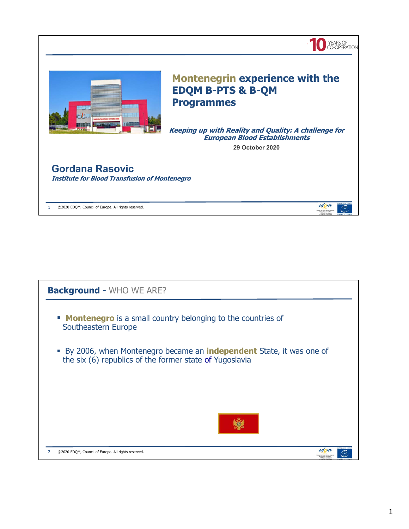

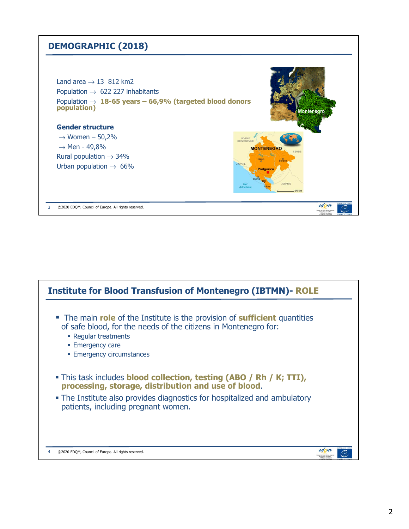### **DEMOGRAPHIC (2018)**



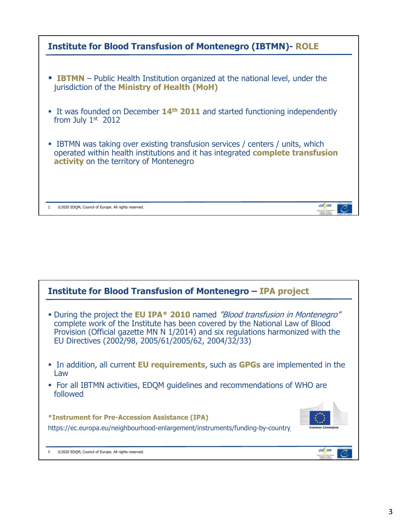| <b>Institute for Blood Transfusion of Montenegro (IBTMN)- ROLE</b>                                                                                                                                                 |
|--------------------------------------------------------------------------------------------------------------------------------------------------------------------------------------------------------------------|
|                                                                                                                                                                                                                    |
| <b>EXECUTE:</b> IBTMN – Public Health Institution organized at the national level, under the<br>jurisdiction of the Ministry of Health (MoH)                                                                       |
| • It was founded on December 14 <sup>th</sup> 2011 and started functioning independently<br>from July $1st$ 2012                                                                                                   |
| • IBTMN was taking over existing transfusion services / centers / units, which<br>operated within health institutions and it has integrated complete transfusion<br><b>activity</b> on the territory of Montenegro |
| edom<br>©2020 EDQM, Council of Europe. All rights reserved.                                                                                                                                                        |

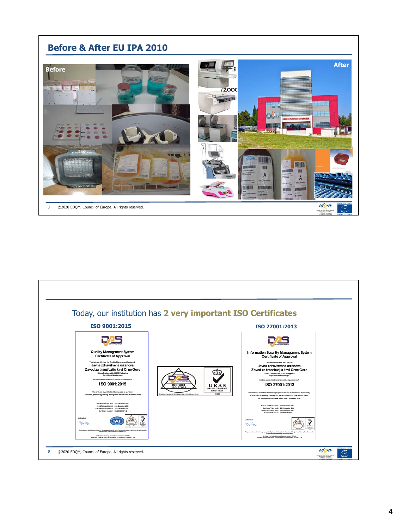

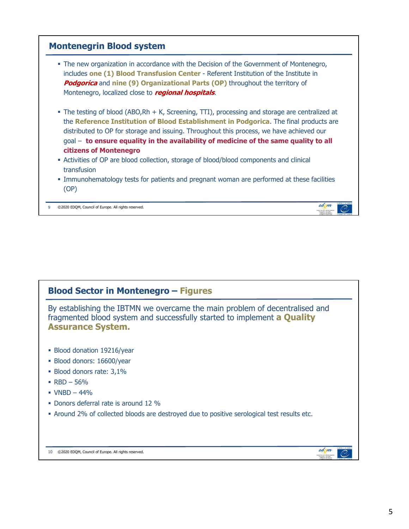

## **Blood Sector in Montenegro – Figures** By establishing the IBTMN we overcame the main problem of decentralised and fragmented blood system and successfully started to implement **a Quality Assurance System. Blood donation 19216/year**  Blood donors: 16600/year Blood donors rate: 3,1%  $RBD - 56%$  $\bullet$  VNBD - 44% • Donors deferral rate is around 12 % Around 2% of collected bloods are destroyed due to positive serological test results etc.

10 ©2020 EDQM, Council of Europe. All rights reserved.

edom

C.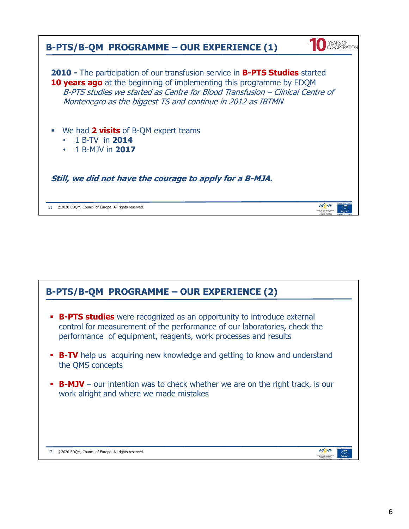| <b>B-PTS/B-QM PROGRAMME - OUR EXPERIENCE (1)</b>                                                                                                                                                                                                                                                           |
|------------------------------------------------------------------------------------------------------------------------------------------------------------------------------------------------------------------------------------------------------------------------------------------------------------|
| 2010 - The participation of our transfusion service in <b>B-PTS Studies</b> started<br>10 years ago at the beginning of implementing this programme by EDQM<br>B-PTS studies we started as Centre for Blood Transfusion - Clinical Centre of<br>Montenegro as the biggest TS and continue in 2012 as IBTMN |
| We had 2 visits of B-QM expert teams<br>1 B-TV in 2014<br>1 B-MJV in 2017                                                                                                                                                                                                                                  |
| Still, we did not have the courage to apply for a B-MJA.                                                                                                                                                                                                                                                   |
| edom<br>©2020 EDOM, Council of Europe. All rights reserved.<br>11                                                                                                                                                                                                                                          |

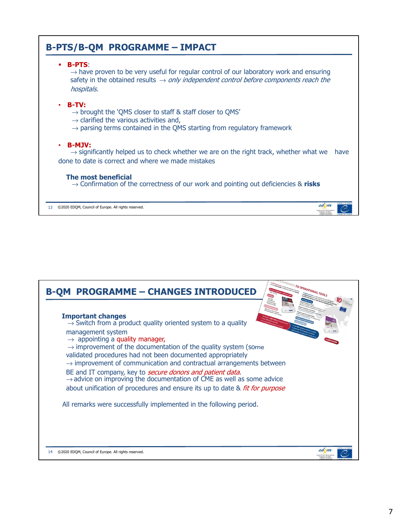

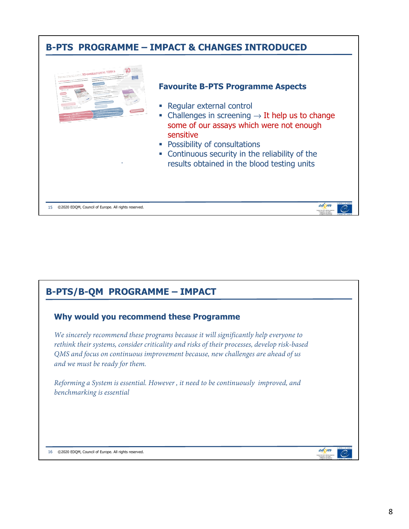

### **B-PTS/B-QM PROGRAMME – IMPACT**

#### **Why would you recommend these Programme**

*We sincerely recommend these programs because it will significantly help everyone to rethink their systems, consider criticality and risks of their processes, develop risk-based QMS and focus on continuous improvement because, new challenges are ahead of us and we must be ready for them.*

*Reforming a System is essential. However , it need to be continuously improved, and benchmarking is essential* 

16 ©2020 EDQM, Council of Europe. All rights reserved.

edom

C